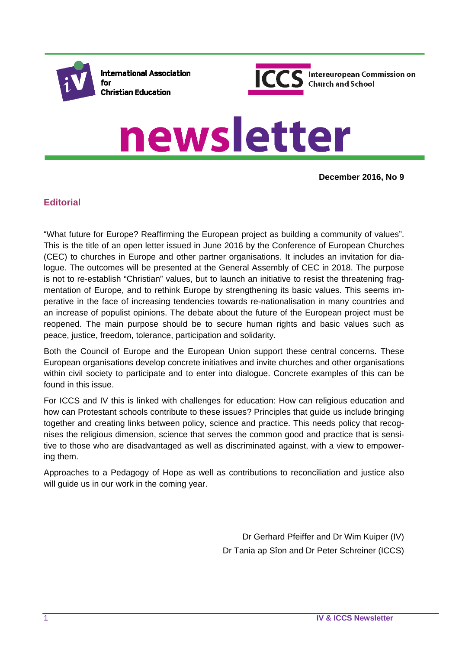

**International Association** for **Christian Education** 



# newsletter

**December 2016, No 9**

## **Editorial**

"What future for Europe? Reaffirming the European project as building a community of values". This is the title of an open letter issued in June 2016 by the Conference of European Churches (CEC) to churches in Europe and other partner organisations. It includes an invitation for dialogue. The outcomes will be presented at the General Assembly of CEC in 2018. The purpose is not to re-establish "Christian" values, but to launch an initiative to resist the threatening fragmentation of Europe, and to rethink Europe by strengthening its basic values. This seems imperative in the face of increasing tendencies towards re-nationalisation in many countries and an increase of populist opinions. The debate about the future of the European project must be reopened. The main purpose should be to secure human rights and basic values such as peace, justice, freedom, tolerance, participation and solidarity.

Both the Council of Europe and the European Union support these central concerns. These European organisations develop concrete initiatives and invite churches and other organisations within civil society to participate and to enter into dialogue. Concrete examples of this can be found in this issue.

For ICCS and IV this is linked with challenges for education: How can religious education and how can Protestant schools contribute to these issues? Principles that guide us include bringing together and creating links between policy, science and practice. This needs policy that recognises the religious dimension, science that serves the common good and practice that is sensitive to those who are disadvantaged as well as discriminated against, with a view to empowering them.

Approaches to a Pedagogy of Hope as well as contributions to reconciliation and justice also will guide us in our work in the coming year.

> Dr Gerhard Pfeiffer and Dr Wim Kuiper (IV) Dr Tania ap Sîon and Dr Peter Schreiner (ICCS)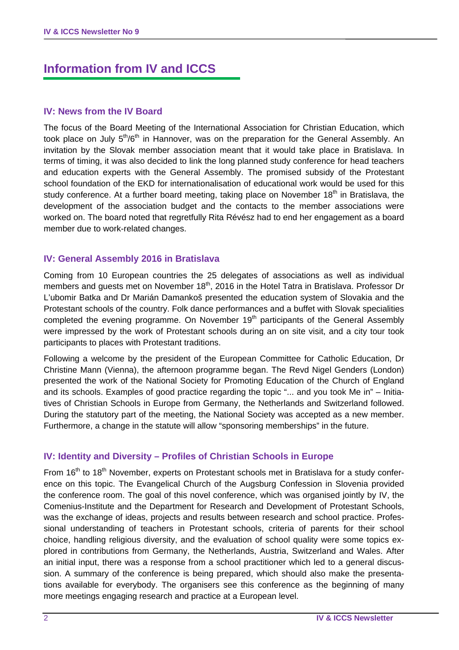# **Information from IV and ICCS**

#### **IV: News from the IV Board**

The focus of the Board Meeting of the International Association for Christian Education, which took place on July  $5<sup>th</sup>/6<sup>th</sup>$  in Hannover, was on the preparation for the General Assembly. An invitation by the Slovak member association meant that it would take place in Bratislava. In terms of timing, it was also decided to link the long planned study conference for head teachers and education experts with the General Assembly. The promised subsidy of the Protestant school foundation of the EKD for internationalisation of educational work would be used for this study conference. At a further board meeting, taking place on November 18<sup>th</sup> in Bratislava, the development of the association budget and the contacts to the member associations were worked on. The board noted that regretfully Rita Révész had to end her engagement as a board member due to work-related changes.

#### **IV: General Assembly 2016 in Bratislava**

Coming from 10 European countries the 25 delegates of associations as well as individual members and guests met on November 18<sup>th</sup>, 2016 in the Hotel Tatra in Bratislava. Professor Dr L'ubomir Batka and Dr Marián Damankoš presented the education system of Slovakia and the Protestant schools of the country. Folk dance performances and a buffet with Slovak specialities completed the evening programme. On November 19<sup>th</sup> participants of the General Assembly were impressed by the work of Protestant schools during an on site visit, and a city tour took participants to places with Protestant traditions.

Following a welcome by the president of the European Committee for Catholic Education, Dr Christine Mann (Vienna), the afternoon programme began. The Revd Nigel Genders (London) presented the work of the National Society for Promoting Education of the Church of England and its schools. Examples of good practice regarding the topic "... and you took Me in" – Initiatives of Christian Schools in Europe from Germany, the Netherlands and Switzerland followed. During the statutory part of the meeting, the National Society was accepted as a new member. Furthermore, a change in the statute will allow "sponsoring memberships" in the future.

## **IV: Identity and Diversity – Profiles of Christian Schools in Europe**

From 16<sup>th</sup> to 18<sup>th</sup> November, experts on Protestant schools met in Bratislava for a study conference on this topic. The Evangelical Church of the Augsburg Confession in Slovenia provided the conference room. The goal of this novel conference, which was organised jointly by IV, the Comenius-Institute and the Department for Research and Development of Protestant Schools, was the exchange of ideas, projects and results between research and school practice. Professional understanding of teachers in Protestant schools, criteria of parents for their school choice, handling religious diversity, and the evaluation of school quality were some topics explored in contributions from Germany, the Netherlands, Austria, Switzerland and Wales. After an initial input, there was a response from a school practitioner which led to a general discussion. A summary of the conference is being prepared, which should also make the presentations available for everybody. The organisers see this conference as the beginning of many more meetings engaging research and practice at a European level.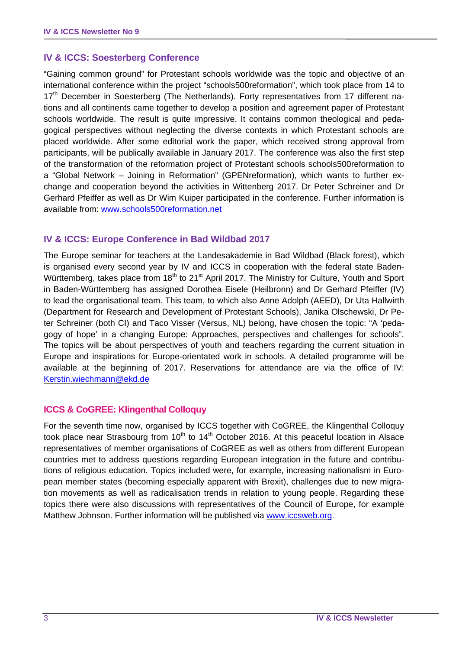#### **IV & ICCS: Soesterberg Conference**

"Gaining common ground" for Protestant schools worldwide was the topic and objective of an international conference within the project "schools500reformation", which took place from 14 to 17<sup>th</sup> December in Soesterberg (The Netherlands). Forty representatives from 17 different nations and all continents came together to develop a position and agreement paper of Protestant schools worldwide. The result is quite impressive. It contains common theological and pedagogical perspectives without neglecting the diverse contexts in which Protestant schools are placed worldwide. After some editorial work the paper, which received strong approval from participants, will be publically available in January 2017. The conference was also the first step of the transformation of the reformation project of Protestant schools schools500reformation to a "Global Network – Joining in Reformation" (GPENreformation), which wants to further exchange and cooperation beyond the activities in Wittenberg 2017. Dr Peter Schreiner and Dr Gerhard Pfeiffer as well as Dr Wim Kuiper participated in the conference. Further information is available from: www.schools500reformation.net

#### **IV & ICCS: Europe Conference in Bad Wildbad 2017**

The Europe seminar for teachers at the Landesakademie in Bad Wildbad (Black forest), which is organised every second year by IV and ICCS in cooperation with the federal state Baden-Württemberg, takes place from 18<sup>th</sup> to 21<sup>st</sup> April 2017. The Ministry for Culture, Youth and Sport in Baden-Württemberg has assigned Dorothea Eisele (Heilbronn) and Dr Gerhard Pfeiffer (IV) to lead the organisational team. This team, to which also Anne Adolph (AEED), Dr Uta Hallwirth (Department for Research and Development of Protestant Schools), Janika Olschewski, Dr Peter Schreiner (both CI) and Taco Visser (Versus, NL) belong, have chosen the topic: "A 'pedagogy of hope' in a changing Europe: Approaches, perspectives and challenges for schools". The topics will be about perspectives of youth and teachers regarding the current situation in Europe and inspirations for Europe-orientated work in schools. A detailed programme will be available at the beginning of 2017. Reservations for attendance are via the office of IV: Kerstin.wiechmann@ekd.de

## **ICCS & CoGREE: Klingenthal Colloquy**

For the seventh time now, organised by ICCS together with CoGREE, the Klingenthal Colloquy took place near Strasbourg from  $10<sup>th</sup>$  to  $14<sup>th</sup>$  October 2016. At this peaceful location in Alsace representatives of member organisations of CoGREE as well as others from different European countries met to address questions regarding European integration in the future and contributions of religious education. Topics included were, for example, increasing nationalism in European member states (becoming especially apparent with Brexit), challenges due to new migration movements as well as radicalisation trends in relation to young people. Regarding these topics there were also discussions with representatives of the Council of Europe, for example Matthew Johnson. Further information will be published via www.iccsweb.org.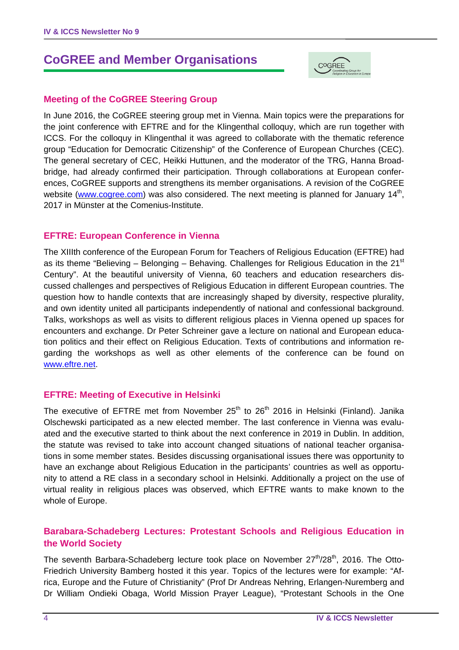# **CoGREE and Member Organisations**



#### **Meeting of the CoGREE Steering Group**

In June 2016, the CoGREE steering group met in Vienna. Main topics were the preparations for the joint conference with EFTRE and for the Klingenthal colloquy, which are run together with ICCS. For the colloquy in Klingenthal it was agreed to collaborate with the thematic reference group "Education for Democratic Citizenship" of the Conference of European Churches (CEC). The general secretary of CEC, Heikki Huttunen, and the moderator of the TRG, Hanna Broadbridge, had already confirmed their participation. Through collaborations at European conferences, CoGREE supports and strengthens its member organisations. A revision of the CoGREE website (www.cogree.com) was also considered. The next meeting is planned for January 14<sup>th</sup>, 2017 in Münster at the Comenius-Institute.

#### **EFTRE: European Conference in Vienna**

The XIIIth conference of the European Forum for Teachers of Religious Education (EFTRE) had as its theme "Believing – Belonging – Behaving. Challenges for Religious Education in the  $21<sup>st</sup>$ Century". At the beautiful university of Vienna, 60 teachers and education researchers discussed challenges and perspectives of Religious Education in different European countries. The question how to handle contexts that are increasingly shaped by diversity, respective plurality, and own identity united all participants independently of national and confessional background. Talks, workshops as well as visits to different religious places in Vienna opened up spaces for encounters and exchange. Dr Peter Schreiner gave a lecture on national and European education politics and their effect on Religious Education. Texts of contributions and information regarding the workshops as well as other elements of the conference can be found on www.eftre.net.

#### **EFTRE: Meeting of Executive in Helsinki**

The executive of EFTRE met from November  $25<sup>th</sup>$  to  $26<sup>th</sup>$  2016 in Helsinki (Finland). Janika Olschewski participated as a new elected member. The last conference in Vienna was evaluated and the executive started to think about the next conference in 2019 in Dublin. In addition, the statute was revised to take into account changed situations of national teacher organisations in some member states. Besides discussing organisational issues there was opportunity to have an exchange about Religious Education in the participants' countries as well as opportunity to attend a RE class in a secondary school in Helsinki. Additionally a project on the use of virtual reality in religious places was observed, which EFTRE wants to make known to the whole of Europe.

## **Barabara-Schadeberg Lectures: Protestant Schools and Religious Education in the World Society**

The seventh Barbara-Schadeberg lecture took place on November  $27<sup>th</sup>/28<sup>th</sup>$ , 2016. The Otto-Friedrich University Bamberg hosted it this year. Topics of the lectures were for example: "Africa, Europe and the Future of Christianity" (Prof Dr Andreas Nehring, Erlangen-Nuremberg and Dr William Ondieki Obaga, World Mission Prayer League), "Protestant Schools in the One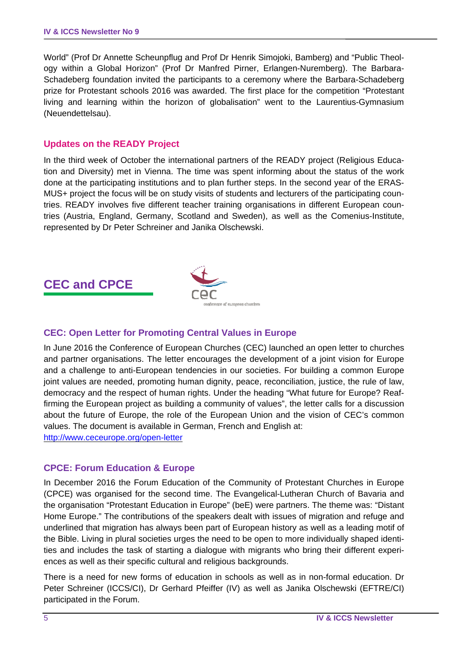World" (Prof Dr Annette Scheunpflug and Prof Dr Henrik Simojoki, Bamberg) and "Public Theology within a Global Horizon" (Prof Dr Manfred Pirner, Erlangen-Nuremberg). The Barbara-Schadeberg foundation invited the participants to a ceremony where the Barbara-Schadeberg prize for Protestant schools 2016 was awarded. The first place for the competition "Protestant living and learning within the horizon of globalisation" went to the Laurentius-Gymnasium (Neuendettelsau).

#### **Updates on the READY Project**

In the third week of October the international partners of the READY project (Religious Education and Diversity) met in Vienna. The time was spent informing about the status of the work done at the participating institutions and to plan further steps. In the second year of the ERAS-MUS+ project the focus will be on study visits of students and lecturers of the participating countries. READY involves five different teacher training organisations in different European countries (Austria, England, Germany, Scotland and Sweden), as well as the Comenius-Institute, represented by Dr Peter Schreiner and Janika Olschewski.

# **CEC and CPCE**



## **CEC: Open Letter for Promoting Central Values in Europe**

In June 2016 the Conference of European Churches (CEC) launched an open letter to churches and partner organisations. The letter encourages the development of a joint vision for Europe and a challenge to anti-European tendencies in our societies. For building a common Europe joint values are needed, promoting human dignity, peace, reconciliation, justice, the rule of law, democracy and the respect of human rights. Under the heading "What future for Europe? Reaffirming the European project as building a community of values", the letter calls for a discussion about the future of Europe, the role of the European Union and the vision of CEC's common values. The document is available in German, French and English at: http://www.ceceurope.org/open-letter

#### **CPCE: Forum Education & Europe**

In December 2016 the Forum Education of the Community of Protestant Churches in Europe (CPCE) was organised for the second time. The Evangelical-Lutheran Church of Bavaria and the organisation "Protestant Education in Europe" (beE) were partners. The theme was: "Distant Home Europe." The contributions of the speakers dealt with issues of migration and refuge and underlined that migration has always been part of European history as well as a leading motif of the Bible. Living in plural societies urges the need to be open to more individually shaped identities and includes the task of starting a dialogue with migrants who bring their different experiences as well as their specific cultural and religious backgrounds.

There is a need for new forms of education in schools as well as in non-formal education. Dr Peter Schreiner (ICCS/CI), Dr Gerhard Pfeiffer (IV) as well as Janika Olschewski (EFTRE/CI) participated in the Forum.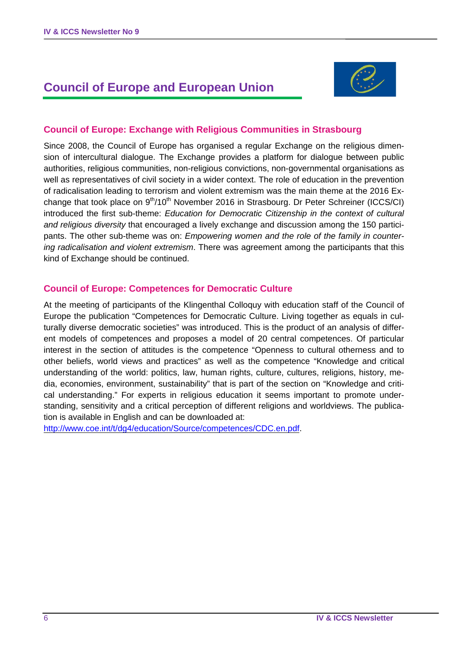# **Council of Europe and European Union**



#### **Council of Europe: Exchange with Religious Communities in Strasbourg**

Since 2008, the Council of Europe has organised a regular Exchange on the religious dimension of intercultural dialogue. The Exchange provides a platform for dialogue between public authorities, religious communities, non-religious convictions, non-governmental organisations as well as representatives of civil society in a wider context. The role of education in the prevention of radicalisation leading to terrorism and violent extremism was the main theme at the 2016 Exchange that took place on  $9<sup>th</sup>/10<sup>th</sup>$  November 2016 in Strasbourg. Dr Peter Schreiner (ICCS/CI) introduced the first sub-theme: *Education for Democratic Citizenship in the context of cultural and religious diversity* that encouraged a lively exchange and discussion among the 150 participants. The other sub-theme was on: *Empowering women and the role of the family in countering radicalisation and violent extremism*. There was agreement among the participants that this kind of Exchange should be continued.

#### **Council of Europe: Competences for Democratic Culture**

At the meeting of participants of the Klingenthal Colloquy with education staff of the Council of Europe the publication "Competences for Democratic Culture. Living together as equals in culturally diverse democratic societies" was introduced. This is the product of an analysis of different models of competences and proposes a model of 20 central competences. Of particular interest in the section of attitudes is the competence "Openness to cultural otherness and to other beliefs, world views and practices" as well as the competence "Knowledge and critical understanding of the world: politics, law, human rights, culture, cultures, religions, history, media, economies, environment, sustainability" that is part of the section on "Knowledge and critical understanding." For experts in religious education it seems important to promote understanding, sensitivity and a critical perception of different religions and worldviews. The publication is available in English and can be downloaded at:

http://www.coe.int/t/dg4/education/Source/competences/CDC.en.pdf.